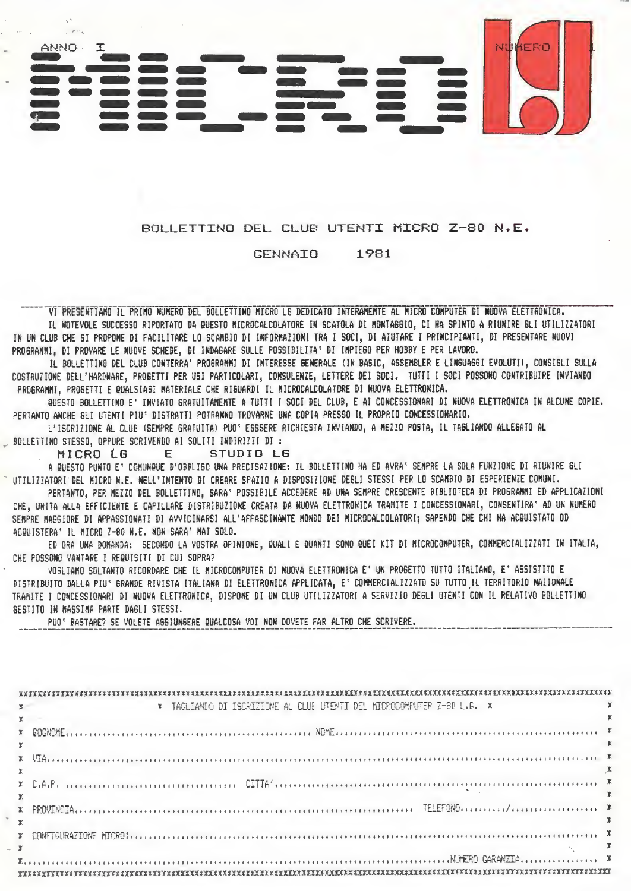

## BOLLETTING DEL CLUB UTENTI MICRO Z-80 N.E.

#### **GENNAIO** 1981

VI PRESENTIANO IL PRIMO NUMERO DEL BOLLETTINO MICRO LE DEDICATO INTERAMENTE AL MICRO COMPUTER DI NUOVA ELETTRONICA. IL WOTEVOLE SUCCESSO RIPORTATO DA QUESTO MICROCALCOLATORE IN SCATOLA DI MONTAGGIO, CI HA SPINTO A RIUNIRE GLI UTILIZZATORI IN UN CLUB CHE SI PROPONE DI FACILITARE LO SCAMBIO DI INFORMAZIONI TRA I SOCI, DI AIUTARE I PRINCIPIANTI, DI PRESENTARE NUOVI PROGRAMMI. DI PROVARE LE NUOVE SCHEDE, DI INDAGARE SULLE POSSIBILITA' DI IMPIEGO PER HOBBY E PER LAVORO.

IL BOLLETTINO DEL CLUB CONTERRA' PROGRAMMI DI INTERESSE GENERALE (IN BASIC, ASSEMBLER E LINGUAGGI EVOLUTI), CONSIGLI SULLA COSTRUZIONE DELL'HARDWARE, PROGETTI PER USI PARTICOLARI, CONSULENZE, LETTERE DEI SOCI. TUTTI I SOCI POSSONO CONTRIBUIRE INVIANDO PROGRAMMI. PROGETTI E QUALSIASI MATERIALE CHE RIGUARDI IL MICROCALCOLATORE DI NUOVA ELETTRONICA.

QUESTO BOLLETTINO E' INVIATO GRATUITAMENTE A TUTTI I SOCI DEL CLUB, E AI CONCESSIONARI DI NUOVA ELETTRONICA IN ALCUNE COPIE. PERTANTO ANCHE GLI UTENTI PIU' DISTRATTI POTRANNO TROVARNE UNA COPIA PRESSO IL PROPRIO CONCESSIONARIO.

L'ISCRIZIONE AL CLUB (SEMPRE GRATUITA) PUO' ESSSERE RICHIESTA INVIANDO, A MEZZO POSTA, IL TAGLIANDO ALLEGATO AL BOLLETTINO STESSO, OPPURE SCRIVENDO AI SOLITI INDIRIZZI DI :

MICRO LG E. STUDIO LG

A QUESTO PUNTO E' COMUNQUE D'OBRLIGO UNA PRECISAZIONE: IL BOLLETTINO HA ED AVRA' SEMPRE LA SOLA FUNZIONE DI RIUNIRE GLI UTILIZZATORI DEL MICRO N.E. NELL'INTENTO DI CREARE SPAZIO A DISPOSIZIONE DEGLI STESSI PER LO SCAMBIO DI ESPERIENZE COMUNI.

PERTANTO, PER MEZZO DEL BOLLETTINO, SARA' POSSIBILE ACCEDERE AD UNA SEMPRE CRESCENTE BIBLIOTECA DI PROGRAMMI ED APPLICAZIONI CHE, UNITA ALLA EFFICIENTE E CAPILLARE DISTRIBUZIONE CREATA DA NUOVA ELETTRONICA TRAMITE I CONCESSIONARI, CONSENTIRA' AD UN NUMERO SEBPRE HAGGIORE DI APPASSIONATI DI AVVICINARSI ALL'AFFASCINANTE MONDO DEI MICROCALCOLATORI: SAPENDO CHE CHI HA ACQUISTATO OD ACQUISTERA' IL MICRO 7-80 N.E. NON SARA' MAI SOLO.

ED ORA UNA DOMANDA: SECONDO LA VOSTRA OPINIONE, QUALI E QUANTI SONO QUEI KIT DI MICROCOMPUTER, COMMERCIALIZZATI IN ITALIA, CHE POSSONO VANTARE I REQUISITI DI CUI SOPRA?

VOGLIAMO SOLTANTO RICORDARE CHE IL MICROCOMPUTER DI NUOVA ELETTRONICA E' UN PROGETTO TUTTO ITALIANO, E' ASSISTITO E DISTRIBUITO DALLA PIUº GRANDE RIVISTA ITALIANA DI ELETTRONICA APPLICATA, Eº COMMERCIALIZZATO SU TUTTO IL TERRITORIO NAZIONALE TRANITE I CONCESSIONARI DI NUOVA ELETTRONICA, DISPONE DI UN CLUB UTILIZZATORI A SERVIZIO DEGLI UTENTI CON IL RELATIVO BOLLETTIMO BESTITO IN MASSIMA PARTE DAGLI STESSI.

PUO' BASTARE? SE VOLETE AGGIUNGERE QUALCOSA VOI NON DOVETE FAR ALTRO CHE SCRIVERE.

| * TAGLIAMDO DI ISCRIZIONE AL CLUB UTENTI DEL MICROCOMPUTER Z-80 L.G. * |
|------------------------------------------------------------------------|
|                                                                        |
|                                                                        |
|                                                                        |
|                                                                        |
|                                                                        |
|                                                                        |
|                                                                        |
|                                                                        |
|                                                                        |
|                                                                        |
|                                                                        |
|                                                                        |
|                                                                        |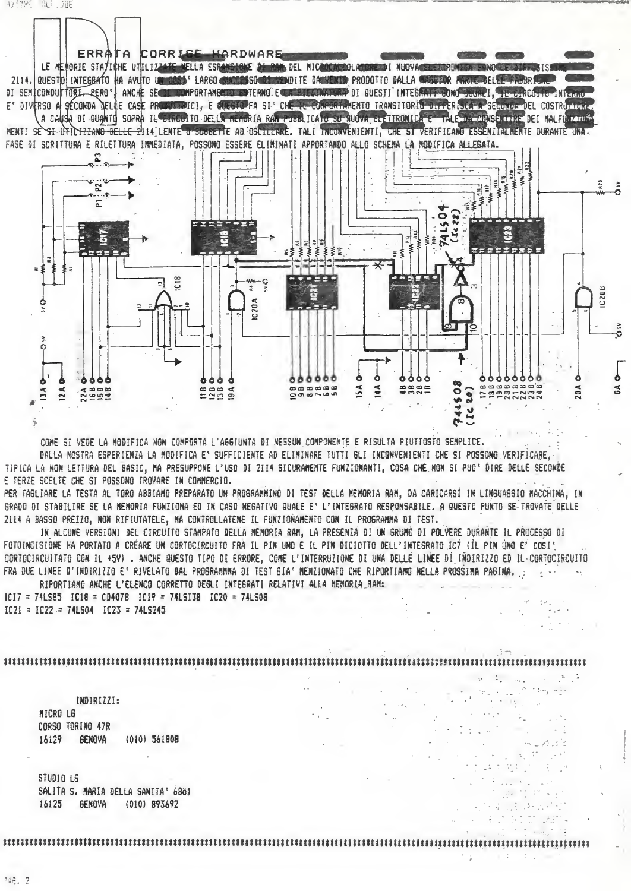ERRATA CORRISE HARDWARE LE MENORIE STATICHE UTILIZZATE NELLA ESPANSIONE DI RAM DEL NICODESIDOLATORE DI NUOVACE ESTRONIER SUNDO E DIAPOSIS 2114. QUESTO INTEGRATO HA AVITO IN COST LARGO CUCCESSO CONTINUEDITE DA VENTO PRODOTTO DALLA CARREGGIA ANTELICE PARRI DI SEMICONDUFTORI PERO' ANCHE SECTEDOMPORTANENTO ESTERNO E CARRIEGINATURA DI QUESTI INTEGRATI GONO COURPI. TE CIRCO, 10 INTERNO E' DIVERSO A SECONDA DELLE CASE PRODUCTIVICI, E QUESTO FA SI' CHE LE CONFORTAMENTO TRANSITORIO DIFFERISCA A SECONDA DEL COSTRUTIONES A CAUSA DI QUANTO SOPRA IL CINCUITO DELLA MEMORIA RAN PUBBLICATO SU AUOVA EL ITRONICA E TALE DA CONSENTINE DEI MALFUDIZIONE MENTI SE SI UTILTIZIANO DELLE 2114 LENTE U SUGGETTE AD OSCILLANE. TALI INCUNVENIENTI, CHE SI VERIFICANO ESSENZIALMENTE DURANTE UNA FASE OI SCRITTURA E RILETTURA IMMÉDIATA, POSSONO ESSERE ELIMINATI APPORTANDO ALLO SCHEMA LA MODIFICA ALLEBATA.



COME SI VEDE LA MODIFICA NON COMPORTA L'AGGIUNTA DI NESSUN COMPONENTE E RISULTA PIUTTOSTO SEMPLICE. DALLA NOSTRA ESPERIENZA LA MODIFICA E' SUFFICIENTE AD ELIMINARE TUTTI GLI INCONVENIENTI CHE SI POSSONO VERIFICARE.

TIPICA LA NON LETTURA DEL BASIC, MA PRESUPPONE L'USO DI 2114 SICURAMENTE FUNZIONANTI, COSA CHE NON SI PUOº DIRE DELLE SECONDE E TERZE SCELTE CHE SI POSSONO TROVARE IN COMMERCIO.

PER TAGLIARE LA TESTA AL TORO ABBIAMO PREPARATO UN PROGRAMMINO DI TEST DELLA MEMORIA RAM, DA CARICARSI IN LINGUAGGIO MACCHINA, IN GRADO DI STABILIRE SE LA MEMORIA FUNZIONA ED IN CASO NEGATIVO QUALE E' L'INTEGRATO RESPONSABILE. A QUESTO PUNTO SE TROVATE DELLE 2114 A BASSO PREZZO, NON RIFIUTATELE, MA CONTROLLATENE IL FUNZIONAMENTO CON IL PROGRAMMA DI TEST.

IN ALCUNE VERSIONI DEL CIRCUITO STAMPATO DELLA MEMORIA RAM, LA PRESENZA DI UN GRUMO DI POLVERE DURANTE IL PROCESSO DI FOTOINCISIONE HA PORTATO A CRÉARE UN CORTOCIRCUITO FRA IL PIN UNO E IL PIN DICIOTTO DELL'INTEGRATO IC7 (IL PIN UNO E' COSI! CORTOCIRCUITATO CON IL +5V). ANCHE QUESTO TIPO DI ERRORE, COME L'INTERRUZIONE DI UNA DELLE LINEE DI INDIRIZZO ED IL CORTOCIRCUITO FRA DUE LINEE D'INDIRIZZO E' RIVELATO DAL PROGRAMMA DI TEST GIA' MENZIONATO CHE RIPORTIAMO NELLA PROSSIMA PAGINA, L RIPORTIANO ANCHE L'ELENCO CORRETTO DEGLI INTEGRATI RELATIVI ALLA MENORIA RAM:

 $IC17 = 74L585$   $IC18 = CD407B$   $IC19 = 74L5138$   $IC20 = 74L508$  $IC21 = IC22 = 74LS04$   $IC23 = 74LS245$ 

INDIRIZZI: MICRO LG CORSO TORINO 47R **GENOVA**  $(010)$  561808 16129

STUDIO L6 SALITA S. MARIA DELLA SANITA' 6861 16125 6ENOVA (010) 893692

 $248.7$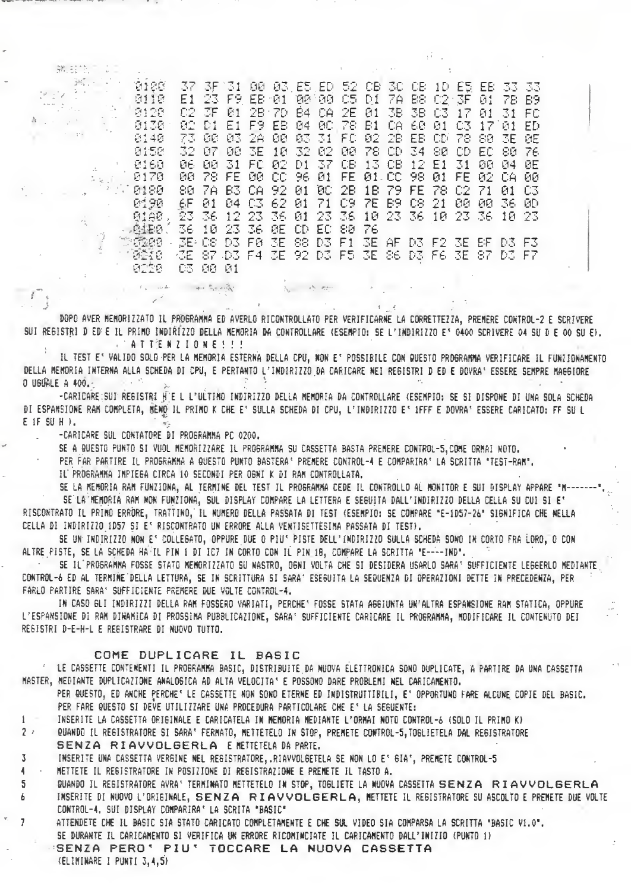$\exists \mathbf{K}, \cdots$  $\sim$ 37 3F 31 98 83 ES ED 52 CB 30 CB 1D ES EB 33 33<br>E1 23 F9 EB 81 88 88 CS D1 7A B8 C2 3F 81 7B B9 8188 0110  $\mathcal{C}_k$  . 02 3F 81 2B 7D 84 0A 2E 81 3B 3B 03 17 81 31 FC<br>82 01 E1 F9 EB 84 80 78 B1 0A 68 81 03 17 81 ED 0120  $\sim$   $\sim$ 0130 73 00 03 2A 00 03 31 FC 02 2B EB CD 78 80 3E 0E 8148 0150 32 07 08 3E 10 32 02 00 78 CD 34 80 CD EC 80 76 8168 06 00 31 FC 02 D1 37 CB 13 CB 12 E1 31 00 04 0E 00 78 FE 00 CC 96 01 FE 01 CC 98 01 FE 02 CA 0170 -66 80 7A 83 CA 92 01 0C 2B 1B 79 FE 78 C2 71 01 0180 C3 0190 6F 01 04 03 62 01 71 09 7E B9 08 21 00 00 -36-ЮD 0180, 23 36 12 23 36 01 23 36 10<br>6420, 36 10 23 36 0E CD EC 80 76 23 36 12 23 36 01 23 36 10 23 36 10 23 馬島  $1<sub>F1</sub>$ 23 F7

DOPO AVER MEMORIZZATO IL PROGRAMMA ED AVERLO RICONTROLLATO PER VERIFICARNE LA CORRETTEZZA, PREMERE CONTROL-2 E SCRIVERE SUI REGISTRI D ED E IL PRIMO INDIRIZZO DELLA MEMORIA DA CONTROLLARE (ESEMPIO: SE L'INDIRIZZO Eº 0400 SCRIVERE 04 SU D E 00 SU E). **ATTENZIONE!!!!** 

No other means

IL TEST E' VALIDO SOLO PER LA MEMORIA ESTERNA DELLA CPU, MON E' POSSIBILE CON QUESTO PROGRAMMA VERIFICARE IL FUNZIONAMENTO DELLA MEMORIA INTERNA ALLA SCHEDA DI CPU, E PERTANTO L'INDIRIZZO DA CARICARE NEI REGISTRI D ED E DOVRA' ESSERE SEMPRE MAGGIORE O USUALE A 400. Service Pro

-CARICARE SUI REGISTRI H E L L'ULTIRO INDIRIZZO DELLA MEMORIA DA CONTROLLARE (ESEMPIO: SE SI DISPONE DI UNA SOLA SCHEDA DI ESPANSIONE RAM COMPLETA, MENO IL PRINO K CHE E' SULLA SCHEDA DI CPU, L'INDIRIZZO E' 1FFF E DOVRA' ESSERE CARICATO: FF SU L  $E$  if  $SU H$  ).

-CARICARE SUL CONTATORE DI PROGRAMMA PC 0200.

 $U_1$  and  $\Delta$ 

第三次

 $1 - 314$ 

 $\mathbb{Z}$ 

SE A QUESTO PUNTO SI VUOL MEMORIZZARE IL PROGRAMMA SU CASSETTA BASTA PREMERE CONTROL-5, COME ORMAI NOTO.

PER FAR PARTIRE IL PROGRAMMA A QUESTO PUNTO BASTERA' PREMERE CONTROL-4 E COMPARIRA' LA SCRITTA "TEST-RAN".

IL' PROGRAMMA IMPIEGA CIRCA 10 SECONDI PER OGNI K DI RAM CONTROLLATA.

 $\label{eq:1} \mathcal{J}_{\mathcal{D}}(\omega,\omega) = \mathcal{J}_{\mathcal{D}}(\omega)$ 

SE LA MEMORIA RAM FUNZIONA, AL TERMINE DEL TEST IL PROGRAMMA CEDE IL CONTROLLO AL MONITOR E SUI DISPLAY APPARE "M--SE'LA MEMORIA RAM NON FUNZIONA, SUL DISPLAY COMPARE LA LETTERA E SEGUITA DALL'INDIRIZZO DELLA CELLA SU CUI SI E' RISCONTRATO IL PRIMO ERRORE, TRATTINO, IL NUMERO DELLA PASSATA DI TEST (ESEMPIO: SE COMPARE "E-1D57-26" SIGNIFICA CHE NELLA CELLA DI INDIRIZZO 1D57 SI E' RISCONTRATO UN ERRORE ALLA VENTISETTESIMA PASSATA DI TEST).

SE UN INDIRIZZO NON ES COLLEGATO, OPPURE DUE O PIUS PISTE DELL'INDIRIZZO SULLA SCHEDA SONO IN CORTO FRA LORO, O CON ALTRE PISTE, SE LA SCHEDA HA IL PIN 1 DI IC7 IN CORTO CON IL PIN 18, COMPARE LA SCRITTA "E----IND".

SE IL PROGRAMMA FOSSE STATO MEMORIZZATO SU NASTRO, OGNI VOLTA CHE SI DESIDERA USARLO SARA' SUFFICIENTE LEGGERLO MEDIANTE CONTROL-6 ED AL TERMINE DELLA LETTURA, SE IN SCRITTURA SI SARA' ESEGUITA LA SEQUENZA DI OPERAZIONI DETTE IN PRECEDENZA, PER FARLO PARTIRE SARA' SUFFICIENTE PREMERE DUE VOLTE CONTROL-4.

IN CASO GLI INDIRIZZI DELLA RAM FOSSERO VARIATI, PERCHE' FOSSE STATA AGGIUNTA UN'ALTRA ESPANSIONE RAM STATICA, OPPURE L'ESPANSIONE DI RAM DINAMICA DI PROSSIMA PUBBLICAZIONE, SARA' SUFFICIENTE CARICARE IL PROGRAMMA, MODIFICARE IL CONTENUTO DEI REGISTRI D-E-H-L E REGISTRARE DI NUOVO TUTTO.

## COME DUPLICARE IL BASIC

' LE CASSETTE CONTEMENTI IL PROGRAMMA BASIC, DISTRIBUITE DA NUOVA ELETTRONICA SONO DUPLICATE, A PARTIRE DA UNA CASSETTA MASTER, MEDIANTE DUPLICAZIONE ANALOGICA AD ALTA VELOCITAS E POSSONO DARE PROBLEMI NEL CARICAMENTO.

PER QUESTO, ED ANCHE PERCHE' LE CASSETTE NON SONO ETERNE ED INDISTRUTTIBILI, E' OPPORTUNO FARE ALCUNE COPIE DEL BASIC. PER FARE QUESTO SI DEVE UTILIZZARE UNA PROCEDURA PARTICOLARE CHE ES LA SEGUENTE:

INSERITE LA CASSETTA ORIGINALE E CARICATELA IN MEMORIA MEDIANTE L'ORMAI NOTO CONTROL-6 (SOLO IL PRIMO K)  $\mathbf{1}$ 

QUANDO IL REGISTRATORE SI SARA' FERMATO, METTETELO IN STOP, PREMETE CONTROL-5, TOGLIETELA DAL REGISTRATORE  $2.7$ SENZA RIAVVOLGERLA E NETTETELA DA PARTE.

 $\bar{X}$ INSERITE UNA CASSETTA VERBINE NEL REBISTRATORE, RIAVVOLBETELA SE NON LO ES BIAS, PREMETE CONTROL-5

METTETE IL REGISTRATORE IN POSIZIONE DI REGISTRAZIONE E PREMETE IL TASTO A.  $\overline{\mathbf{A}}$ 

5 BUANDO IL REGISTRATORE AVRAS TERMINATO METTETELO IN STOP, TOGLIETE LA NUOVA CASSETTA SENZA RIAVVOLGERLA

INSERITE DI NUOVO L'ORIGINALE, SENZA RIAVVOLGERLA, HETTETE IL REGISTRATORE SU ASCOLTO E PREMETE DUE VOLTE 6 CONTROL-4. SUI DISPLAY COMPARIRA' LA SCRITA "BASIC"

ATTENDETE CHE IL BASIC SIA STATO CARICATO COMPLETAMENTE E CHE SUL VIDEO SIA COMPARSA LA SCRITTA "BASIC V1.0". SE DURANTE IL CARICAMENTO SI VERIFICA UN ERRORE RICOMINCIATE IL CARICAMENTO DALL'INIZIO (PUNTO 1) "SENZA PERO" PIU" TOCCARE LA NUOVA CASSETTA

(ELIMINARE I PUNTI 3,4,5)

 $\overline{7}$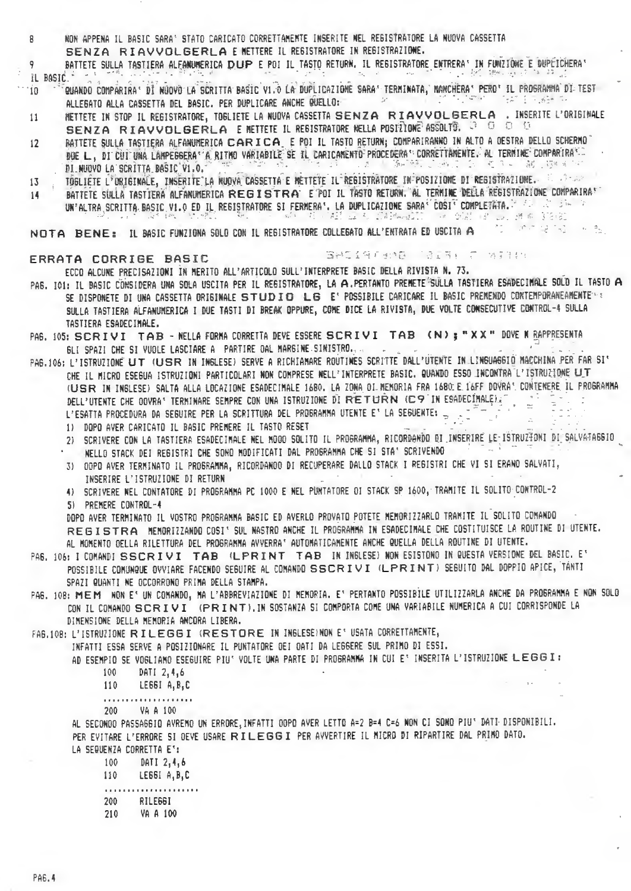NON APPENA IL BASIC SARA' STATO CARICATO CORRETTAMEMTE INSERITE NEL REGISTRATORE LA NUOVA CASSETTA 8 SENZA RIAVVOLGERLA E METTERE IL REGISTRATORE IN REGISTRAZIONE.

BATTETE SULLA TASTIERA ALFANUMERICA DUP E POI IL TASTO RETURN. IL REGISTRATORE ENTRERA' IN FUNZIONE E DUPÉICHERA' 9 IL BASIC i i Artika iliyo shekarar a shekarar<br>Animati iliyofanyika iliyofanyika  $\sim 20^{\circ}$ lis un

- QUANDO COMPARIRAS DI NUOVO LA SCRITTA BASIC VI.O LA DUPLICAZIONE SARAS TERMINATA, MANCHERAS PEROS IL PROSRAMMA DI TEST 'in  $\sim 10^{-22}$ "讲了"的"  $\mathcal{M}^{\star}$ ALLEGATO ALLA CASSETTA DEL BASIC. PER DUPLICARE ANCHE QUELLO:
- RETTETE IN STOP IL REGISTRATORE, TOGLIETE LA NUOVA CASSETTA SENZA RIAVVOLGERLA. INSERITE L'ORIGINALE 11 SENZA RIAVVOLGERLA E NETTETE IL REGISTRATORE NELLA POSTÌONE ASSOLTO. 3 0 0 0 0
- BATTETE SULLA TASTIERA ALFANUMERICA CARICA E POI IL TASTO RETURN; COMPARIRANNO IN ALTO A OESTRA DELLO SCHERMO  $12$ DUE L, DI CUI UNA LAMPEGGERA A RITMO VARIABILE SE IL CARICAMENTO PROCEDERA L'ORRETTAMENTE. AL TERMINE COMPARIRANO DI NUOVO LA SCRITTA BASIC VI.O.
- TÖGLIETE L<sup>F</sup>ORIGINALE, INSERITE LA NUOVA CASSETTA E METTETE IL REGISTRATORE IN POSIZIONE DI REGISTRAZIONE. LE 2012- $13$
- BATTETE SULLA TASTIERA ALFANUMERICA REGISTRA E POI IL TASTO RETURN. AL TERMINE DELLA REGISTRAZIONE COMPARIRA " 14 UN'ALTRA SCRITTA BASIC V1.0 ED IL REBISTRATORE SI FERMERA', LA DUPLICAZIONE SARA' COSI' COMPLETATA. A Altra Sara (PC) 计语言 《阴阳》 - 《如《若》(41) 益 有《舒和風記》 - 《金剧 (B. Las 通す 30)的

**The Contracted** NOTA BENE: IL BASIC FUNZIONA SOLO CON IL REGISTRATORE COLLEGATO ALL'ENTRATA ED USCITA A

#### ERRATA CORRIGE BASIC

SACINETEND COINT C WITH C

 $\omega_{\rm eff}$  .

ECCO ALCUNE PRECISAZIONI IN MERITO ALL'ARTICOLO SULL'INTERPRETE BASIC DELLA RIVISTA N. 73.

- PA6. IO1: IL BASIC CONSIDERA UNA SOLA USCITA PER IL REGISTRATORE, LA A.PERTANTO PREMETE SULLA TASTIERA ESADECIMALE SOLO IL TASTO A SE DISPONETE DI UNA CASSETTA ORIGINALE STUDIO LG E' POSSIBILE CARICARE IL BASIC PREMENDO CONTEMPORANEAMENTERE SULLA TASTIERA ALFANUMERICA I DUE TASTI DI BREAK OPPURE, COME DICE LA RIVISTA, DUE VOLTE CONSECUTIVE CONTROL-4 SULLA TASTIERA ESADECIMALE.
- PA6. 105: SCRIVI TAB NELLA FORMA CORRETTA DEVE ESSERE SCRIVI TAB (N); "XX" DOVE N RAPPRESENTA BLI SPAZI CHE SI VUOLE LASCIARE A PARTIRE OAL MARGINE SINISTRO...
- PAG.106: L'ISTRUZIONE UT (USR IN INGLESE) SERVE A RICHIANARE ROUTINES SCRITTE DALL'UTENTE IN LINGUAGGIO MACCHINA PER FAR SI' CHE IL MICRO ESEGUA ISTRUZIONI PARTICOLARI NON COMPRESE NELL'INTERPRETE BASIC. QUANDO ESSO INCONTRA L'ISTRUZIONE UT (USR IN INGLESE) SALTA ALLA LOCAZIONE ESADECIMALE 1680. LA ZONA OI NEMORIA FRA 1680 E 16FF DOVRAS CONTENERE IL PROGRAMMA DELL'UTENTE CHE OOVRA' TERMINARE SEMPRE CON UNA ISTRUZIONE DI RETURN (C9 IN ESADECIMALE). L'ESATTA PROCEDURA DA SEGUIRE PER LA SCRITTURA DEL PROGRAMMA UTENTE E' LA SEGUENTE:
	- 1) DOPO AVER CARICATO IL BASIC PREMERE IL TASTO RESET
	- 2) SCRIVERE CON LA TASTIERA ESADECIMALE NEL MODO SOLITO IL PROGRAMMA, RICORDANDO DI INSERIRE LE ISTRUZTONI DI SALVATAGGIO
	- NELLO STACK DEI REGISTRI CHE SONO MODIFICATI DAL PROGRAMMA CHE SI STA' SCRIVENDO
	- 3) OOPD AVER TERMINATO IL PROGRAMMA, RICORDANOO DI RECUPERARE DALLO STACK I REGISTRI CHE VI SI ERANO SALVATI, INSERIRE L'ISTRUZIONE DI RETURN
	- 4) SCRIVERE NEL CONTATORE DI PROGRAMMA PC 1000 E NEL PUNTATORE OI STACK SP 1600, TRAMITE IL SOLITO CONTROL-2 5) PREMERE CONTROL-4

DOPO AVER TERMINATO IL VOSTRO PROGRAMMA BASIC ED AVERLO PROVATO POTETE MEMORIZZARLO TRAMITE IL SOLITO COMANDO REGISTRA HEMORIZZANDO COSI' SUL NASTRO ANCHE IL PROGRAMMA IN ESADECIMALE CHE COSTITUISCE LA ROUTINE DI UTENTE. AL MOMENTO OELLA RILETTURA DEL PROGRAMMA AVVERRA' AUTOMATICAMENTE ANCHE QUELLA DELLA ROUTINE DI UTENTE.

- PA6. 106: I COMANDI SSCRIVI TAB (LPRINT TAB IN INGLESE) NON ESISTONO IN QUESTA VERSIONE DEL BASIC. E' POSSIBILE CONUNQUE OVVIARE FACENDO SEGUIRE AL CONANDO SSCRIVI (LPRINT) SEGUITO DAL DOPPIO APICE, TÁNTI SPAZI QUANTI NE OCCORRONO PRIMA DELLA STAMPA.
- PAG. 108: MEM NON E' UN COMANDO, MA L'ABBREVIAZIONE DI MEMORIA. E' PERTANTO POSSIBILE UTILIZZARLA ANCHE DA PROGRAMMA E NON SOLO CON IL COMANDO SCRIVI (PRINT), IN SOSTANZA SI COMPORTA COME UNA VARIABILE NUMERICA A CUI CORRISPONDE LA DIMENSIONE DELLA MEMORIA ANCORA LIBERA.

FA6.108: L'ISTRUZIONE RILEGGI (RESTORE IN INGLESE) NON E' USATA CORRETTAMENTE,

- INFATTI ESSA SERVE A POSIZIONARE IL PUNTATORE OEI OATI DA LEGGERE SUL PRIMO DI ESSI.
	- AD ESEMPIO SE VOGLIANO ESEGUIRE PIU' VOLTE UNA PARTE DI PROGRAMMA IN CUI E' INSERITA L'ISTRUZIONE LEGGI:
		- 100 DATI 2.4.6
		- LEGGI A, B, C 110
		-
		- VA A 100 200

AL SECONOO PASSAGGIO AVREMO UN ERRORE, INFATTI OOPO AVER LETTO A=2 B=4 C=6 NON CI SONO PIU' DATI DISPONIBILI. PER EVITARE L'ERRORE SI OEVE USARE RILEGGI PER AVVERTIRE IL MICRO DI RIPARTIRE DAL PRIMO DATO. LA SEQUENZA CORRETTA E':

| 100 | DATI 2,4,6    |
|-----|---------------|
| 110 | LEGGI A, B, C |
|     | .             |
| 200 | RILE66I       |
| 210 | VA A 100      |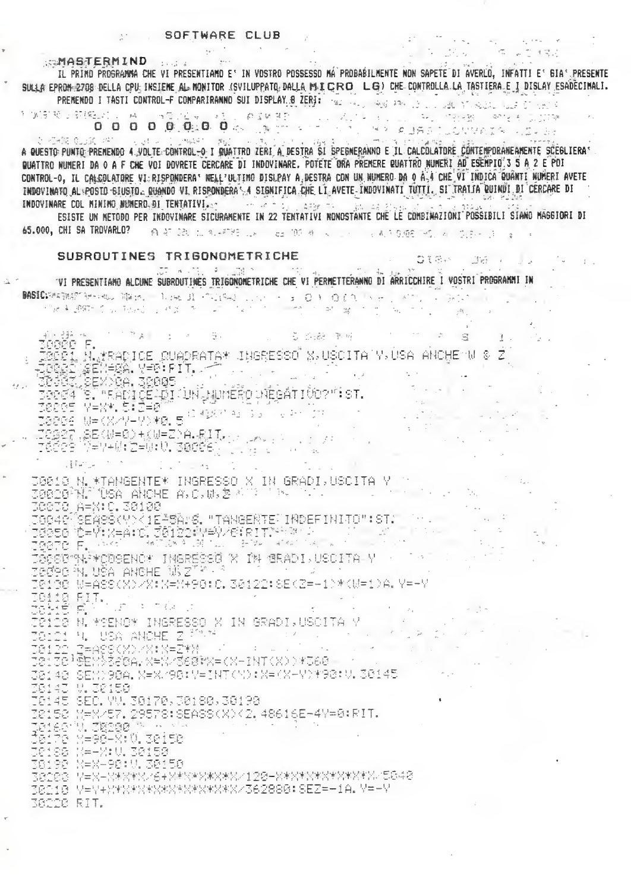SSMASTERMIND SUBSTANT

IL PRIMO PROGRAMMA CHE VI PRESENTIAMO E' IN VOSTRO POSSESSO MÁ PROBABILMENTE NON SAPETE DI AVERLO, INFATTI E' GIA' PRESENTE SULLA EPRON-2708 DELLA CPU; INSIEME AL MONITOR (SVILUPPATO, DALLA MILCRO LG) CHE CONTROLLA TASTIERA E I DISLAY ESADECIMALI. PREMENDO I TASTI CONTROL-F COMPARIRANNO SUI DISPLAY. 8 ZERJE 1921 1932 1934 1936 1946 1947 1948 1948 1948 1948

他国际

A BUESTO PUNTO PRENENDO 4.VOLTE CONTROL-O I GUATTRO ZERI A DESTRA SI SPEGNERANNO E IL CALCOLATORE CONTEMPORANEAMENTE SCEGLIERA QUATTRO NUMERI DA O A F CHE VOI DOVRETE CERCARE DI INDOVINARE. POTETE ORA PREMERE QUATTRO NUMERI AD ESEMPIO'S 5 A 2 E POI CONTROL-0, IL CALCOLATORE VI:RISPONDERA: NELL'ULTIMO DISLPAY A DESTRA CON UN NUMERO DA 0 À 4 CHE VI INDICA QUANTI NUMERI AVETE INDOVINATO AL POSTO SIUSTO, QUANDO VI RISPONDERAS A SIGNIFICA CHE LI AVETE INDOVINATI TUTTI, SI TRAITA QUINDI DI CERCARE DI INDOVINARE COL MININO NUMERO DI TENTATIVI PER PROTECCI DI SERVICE DI SERVICE DI SERVICE DI STANDI

ESISTE UN METODO PER INDOVINARE SICURAMENTE IN 22 TENTATIVI NONOSTANTE CHE LE COMBINAZIONI POSSIBILI SIANO MAGGIORI DI 65.000. CHI SA TROVARLO? AFRICAN MARKED AND CONTRACTOR CONTRACTOR CONTRACTOR

**OIGA** 

 $\mathbb{F}_2$  .

SUBROUTINES TRIGONOMETRICHE VI PRESENTIANO ALCUNE SUBROUTINES TRIGONOMETRICHE CHE VI PERMETTERANNO DI ARRICCHIRE I VOSTRI PROGRAMMI IN BASIC PARTNERS TO THE MANUFACTURE CONTROL CONTROL CONTROL CONTROL CONTROL CONTROL CONTROL CONTROL CONTROL CONTROL CONTROL CONTROL CONTROL CONTROL CONTROL CONTROL CONTROL CONTROL CONTROL CONTROL CONTROL CONTROL CONTROL CONT the Aussich Countries of the Australian Countries of the Second Countries of the Second Countries of the Second Countries of the Second Countries of the Second Countries of the Second Countries of the Second Countries of t  $\frac{1}{2}$  ,  $\frac{1}{2}$  ,  $\frac{1}{2}$  ,  $\frac{1}{2}$ 1. 1. 教え しんじょうそう (面) アーバー・プログ 第2508年度 (1998年) TOODD F.<br>Toodd F. M. KRADICE OUADRATA\* JHSRESSO X, USCITA Y, USA ANCHEMU & Z<br>Toodd Sex, Sex, Y-D. FIT.<br>Toodd Sex, Sex, Callard M. M. M. Sec. WebATICornist.  $\mathcal{F}$ S. "KADIČĒLĀI JUN ŅUMĒRO VIĒGATIČO?": ST.<br>Veri (1998) 2021년 19부8년, 5:2부8일 - 1110년 112일 112년 112년 12일<br>38886 Ne(X/Y-Y)(8, 5) 423143133113411211111111111111<br>78687 - 12 (X/Y-Y)(8, 5) 27. 88(350) 杨明君) 8. 8. 1. 1. 1. 1. 1. 1. 1. egen<br>Beer **MEYAM EEM O. Sadée**n dura do la  $\mathcal{L}$  $\frac{1}{2}$  $1 - 1 = 41$ IBB18 N.\*TANGENTE\* INGRESSO X IN GRADI,USCITA Y Y Y ...<br>IBB28<sup>3</sup>N. 195A ANCHE A,C,W,호시 I 'N (2018) A=X+C. 38188 IGG40<sup>3</sup>SÉASŠ(Y)<1E<sup>1</sup>SÅrő. "TANGEÑTE"INDEFINITO":ST. TSSES YDFYYNAAND, JANERYWAY/YSERITYKY XYLAAND (1994)<br>TSSES YDFYNAAND, JANERYWAY/YSERITYKY XYLAAND (1994) JOCSG~W`\*CDSENC\* INGRESSG X IN GRADI,USCITA Y ·<br>JOC9C N. USA ANCHE W Z<sup>TV . ?</sup> 30130 W=A88(X)/X:K=Y+98:C.30122:88(Z=-1)\*(W=1)A.Y=-Y ZBIID RIT.<br>JBIID RIT.<br>JBIID R. LOOMAN THOPPOON CGINS ANN JUN ANN (2008)<br>Jeide N. Mench Ingresso X IN Gradi,USCITA Y<br>Jeidi N. USA ANCHE Z <sup>Ma</sup>rt<br>Jeide Beylbeea,X=X/S60MX=(X-INT(X))#J60 38148 SEM)98A, X=X/98:Y=INT(M):X=(X-Y)\*98:V. 38145 38143 W 38158 0145 SEC. YV. 30170, 30180, 30190 2152 N=X/57.29578:8EASS(X)(2.48616E-4Y=0:RIT. TaiserV, Basga FATILI VIIVPE<br>Caire (X=98-X:V, seisa  $\pm 73$ 38088 7=X-X%X\*X/6+X\*X\*X\*X\*X\*X/128-X\*X\*X\*X\*X\*X\*X-5848 30210 Y=Y+X\*X\*X\*X\*X\*X\*X\*X\*X/362800:SEZ=-1A.Y=-Y 38228 RIT.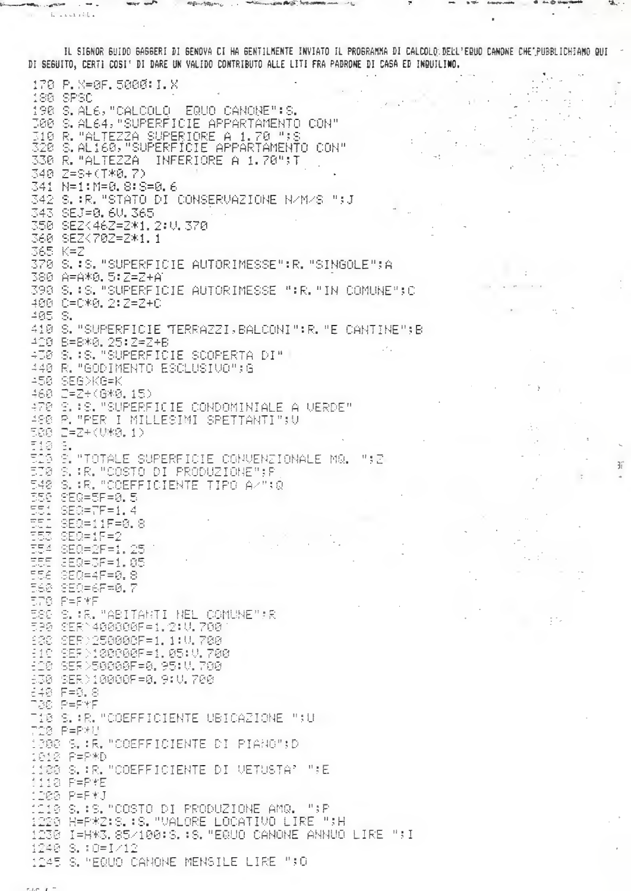IL SIGNOR GUIDO GAGGERI DI GENOVA CI HA GENTILMENTE INVIATO IL PROGRAMMA DI CALCOLO DELL'ERUO CANONE CHE PUBBLICHIAMO QUI DI SEGUITO, CERTI COSI' DI DARE UN VALIDO CONTRIBUTO ALLE LITI FRA PADRONE DI CASA ED INQUILINO.  $\sim 10$ 

 $\mathbb{R}^2$ 

玉

170 P. K-0F. 5000: I. X 180 SPSC 198 S.AL6, "CALCOLO EQUO CANONE": S. 000 S.AL64, "SUPERFICIE APPARTAMENTO CON" 310 R. "ALTEZZA SUPERIORE A 1.70";S<br>310 R. "ALTEZZA SUPERIORE A 1.70";S  $\sim$   $^{\circ}$ 330 R. "ALTEZZA INFERIORE A 1.70"; T 340 Z=S+(T\*0.7) 341 N=1:M=0.8:8=0.6 342 S. :R. "STATO DI CONSERVAZIONE N/M/S ";J 343 SEJ=0,6U,365 350 SEZK46Z=Z\*1, 2:U, 370 360 SEZ<702=2\*1.1 365 K=Z 370 S.:S. "SUPERFICIE AUTORIMESSE":R. "SINGOLE";A 380 A=A\*0.5:Z=Z+A1 398 S.:S. "SUPERFICIE AUTORIMESSE ":R."IN COMUNE";C 400 0=0\*0. 2:2=2+0 405 S. 410 S. "SUPERFICIE TERRAZZI, BALCONI": R. "E CANTINE"; B 420 B=B\*0, 25:2+2+B 400 S. BS. "SUPERFICIE SCOPERTA DI" | 440 R. "GODIMENTO ESCLUSIVO":G 450 SEG>KG=K 460 2=2+(6\*0,15) 470 S. #S. "SUPERFICIE CONDOMINIALE A VERDE" 480 P. "PER I MILLESIMI SPETTANTI";V 588 2=2+(U#8,1) TIS S.<br>TIS S. "TOTALE SUPERFICIE CONVENZIONALE MQ. ";Z<br>TIS S.:R."COSTO DI PRODUZIONE";P 548 S. : R. "COEFFICIENTE TIPO AZ": 0 550 SEQ=5F=0.5  $SEG = TF = 1.4$ SEQ=11F=0.8 DE 1<br>ESS ISEQ=1F=2) 554 SEQ=2F=1.25 555 SEQ=3F=1.05 teg  $CEC = 4F = 0.8$ 568 850=6F=0.7 ĒPG. F=F#F 580 S. K. "ABITANTI NEL COMUNE" R 595 SER 400806F=1, 2: U. 700 138 8ER>250008F=1,1:0,700 -10 SEF 188000F=1.05:0.700<br>-10 SEF 188000F=1.05:0.700 630 SER)10000F=0.9:U.700 648 F=<mark>8.</mark>8<br>738 P=P\*F Tie S. :R. "COEFFICIENTE UBICAZIONE ";U<br>728 P=P\*U<br>1308 S. :R. "COEFFICIENTE DI PIANG";D 1818 P=P#D 100 S. : R. "COEFFICIENTE DI VETUSTA" ";E Mia P=P\*E 1200 P=F\*J :110 S.:S."COSTO DI PRODUZIONE AMQ. ";P<br>1220 H=P\*Z:S.:S."VALORE LOCATIVO LIRE ";H 1230 I=H%3.85/100:8.:8."EQUO CANONE ANNUO LIRE ";I 1240 S.:0=I/12 1245 S. MEQUO CANONE MENSILE LIRE ";O

 $L = L L L + L L$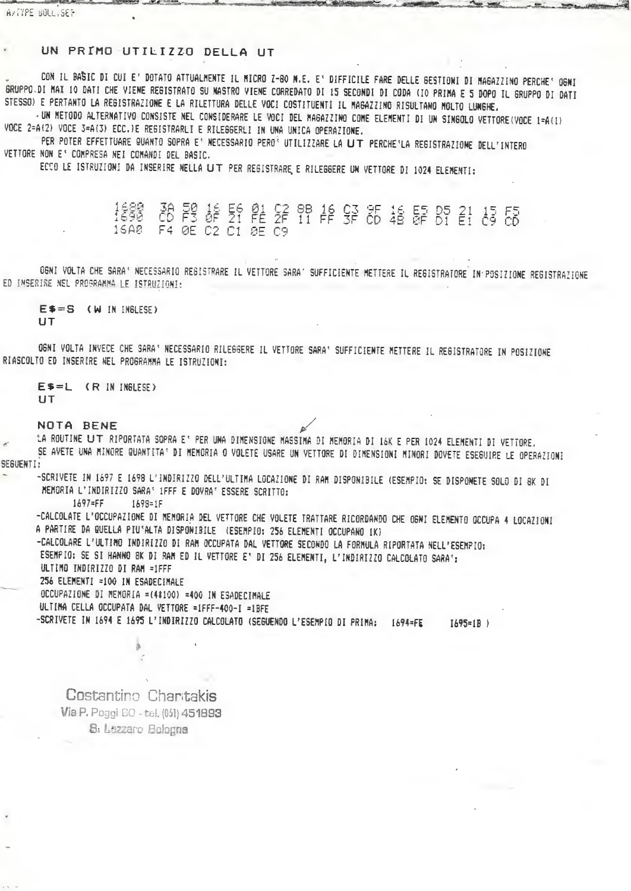# UN PRIMO-UTILIZZO DELLA UT

CON IL BASIC DI CUI E' DOTATO ATTUALMENTE IL MICRO Z-80 N.E. E' DIFFICILE FARE DELLE GESTIONI DI MAGAZZINO PERCHE' OGNI GRUPPO.DI MAX 10 DATI CHE VIENE REGISTRATO SU NASTRO VIENE CORREDATO DI 15 SECONDI DI CODA (IO PRIMA E 5 DOPO IL GRUPPO DI DATI STESSO) E PERTANTO LA REGISTRAZIONE E LA RILETTURA DELLE VOCI COSTITUENTI IL MAGAZZINO RISULTANO MOLTO LUNGHE.

UN METODO ALTERNATIVO CONSISTE NEL CONSIDERARE LE VOCI DEL MAGAZZINO COME ELEMENTI DI UN SINGOLO VETTORE(VOCE 1=A(1) VOCE 2=A(2) VOCE 3=A(3) ECC.)E RESISTRARLI E RILEGGERLI IN UNA UNICA OPERAZIONE.

PER POTER EFFETTUARE QUANTO SOPRA E' NECESSARIO PERO<sup>2</sup> UTILIZZARE LA UT PERCHE'LA REGISTRAZIONE DELL'INTERO VETTORE NON E' COMPRESA NEI COMANDI DEL BASIC.

ECCO LE ISTRUZIONI DA INSERIRE NELLA LIT PER REGISTRARE E RILEGGERE UN VETTORE DI 1024 ELEMENTI:

38 段 56 段 52 8B 16 53 85 指 55 81 45 55 1688<br>1698 F4 0E C2 C1 0E C9  $16AP$ 

OGNI VOLTA CHE SARA' NECESSARIO REGISTRARE IL VETTORE SARA' SUFFICIENTE METTERE IL REGISTRATORE IN POSIZIONE REGISTRAZIONE ED INSERIRE NEL PROGRAMMA LE ISTRUZIONI:

E\$=S (W IN INGLESE) **UT** 

OGNI VOLTA INVECE CHE SARA' NECESSARIO RILEGGERE IL VETTORE SARA' SUFFICIENTE METTERE IL REGISTRATORE IN POSIZIONE RIASCOLTO ED INSERIRE NEL PROGRAMMA LE ISTRUZIONI:

ES=L (R IN INGLESE) **UT** 

NOTA BENE

LA ROUTINE UT RIPORTATA SOPRA E' PER UNA DIMENSIONE MASSIMA DI MEMORIA DI 16K E PER 1024 ELEMENTI DI VETTORE. SE AVETE UNA MINORE QUANTITA' DI MEMORIA O VOLETE USARE UN VETTORE DI DIMENSIONI MINORI DOVETE ESEGUIRE LE OPERAZIONI

SEGUENTI:

-SCRIVETE IN 1697 E 1698 L'INDIRIZZO DELL'ULTIMA LOCAZIONE DI RAM DISPONIBILE (ESEMPIO: SE DISPONETE SOLO DI 8K DI MENORIA L'INDIRIZZO SARA' 1FFF E DOVRA' ESSERE SCRITTO:

 $1697 = FF$ 1698=1F

-CALCOLATE L'OCCUPAZIONE DI MEMORIA DEL VETTORE CHE VOLETE TRATTARE RICORDANDO CHE OGNI ELEMENTO OCCUPA 4 LOCAZIONI A PARTIRE DA QUELLA PIU'ALTA DISPONIBILE (ESEMPIO: 256 ELEMENTI OCCUPANO 1K)

-CALCOLARE L'ULTIMO INDIRIZZO DI RAM OCCUPATA DAL VETTORE SECONDO LA FORMULA RIPORTATA NELL'ESEMPIO:

ESEMPIO: SE SI HANNO BK DI RAM ED IL VETTORE E' DI 256 ELEMENTI, L'INDIRIZZO CALCOLATO SARA':

ULTIMO INDIRIZZO DI RAM =1FFF

256 ELEMENTI =100 IN ESADECIMALE

OCCUPAZIONE DI MEMORIA =(4#100) =400 IN ESADECIMALE

ULTINA CELLA OCCUPATA DAL VETTORE =1FFF-400-I =1BFE

-SCRIVETE IN 1694 E 1695 L'INDIRIZZO CALCOLATO (SEGUENDO L'ESEMPIO DI PRIMA: 1694=FE  $I695=18$ )

Costantino Chantakis Via P. Poggi 60 - tel. (05) 451893 S: Lezzaro Bologna